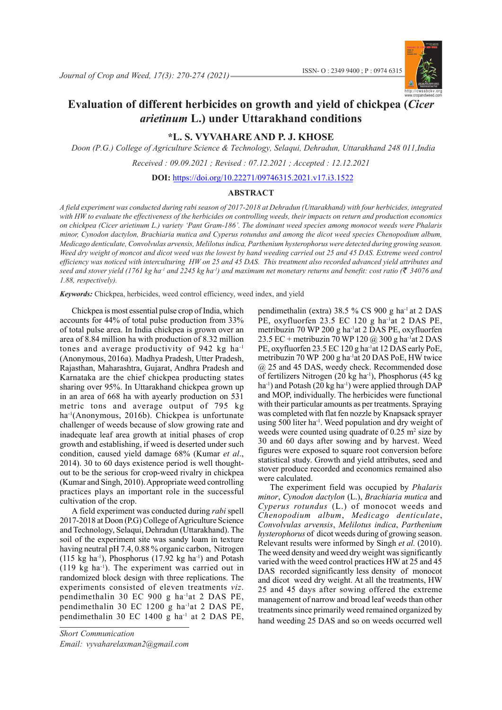

# **Evaluation of different herbicides on growth and yield of chickpea (***Cicer arietinum* **L.) under Uttarakhand conditions**

**\*L. S. VYVAHAREAND P. J. KHOSE**

*Doon (P.G.) College of Agriculture Science & Technology, Selaqui, Dehradun, Uttarakhand 248 011,India Received : 09.09.2021 ; Revised : 07.12.2021 ; Accepted : 12.12.2021*

**DOI:** https://doi.org/10.22271/09746315.2021.v17.i3.1522

## **ABSTRACT**

*A field experiment was conducted during rabi season of 2017-2018 at Dehradun (Uttarakhand) with four herbicides, integrated with HW to evaluate the effectiveness of the herbicides on controlling weeds, their impacts on return and production economics on chickpea (Cicer arietinum L.) variety 'Pant Gram-186'. The dominant weed species among monocot weeds were Phalaris minor, Cynodon dactylon, Brachiaria mutica and Cyperus rotundus and among the dicot weed species Chenopodium album, Medicago denticulate, Convolvulas arvensis, Melilotus indica, Parthenium hysterophorus were detected during growing season. Weed dry weight of moncot and dicot weed was the lowest by hand weeding carried out 25 and 45 DAS. Extreme weed control efficiency was noticed with interculturing HW on 25 and 45 DAS. This treatment also recorded advanced yield attributes and seed and stover yield (1761 kg ha-1 and 2245 kg ha-1) and maximum net monetary returns and benefit: cost ratio (*` *34076 and 1.88, respectively).*

*Keywords:* Chickpea, herbicides, weed control efficiency, weed index, and yield

Chickpea is most essential pulse crop of India, which accounts for 44% of total pulse production from 33% of total pulse area. In India chickpea is grown over an area of 8.84 million ha with production of 8.32 million tones and average productivity of 942 kg ha-1 (Anonymous, 2016a). Madhya Pradesh, Utter Pradesh, Rajasthan, Maharashtra, Gujarat, Andhra Pradesh and Karnataka are the chief chickpea producting states sharing over 95%. In Uttarakhand chickpea grown up in an area of 668 ha with ayearly production on 531 metric tons and average output of 795 kg ha-1(Anonymous, 2016b). Chickpea is unfortunate challenger of weeds because of slow growing rate and inadequate leaf area growth at initial phases of crop growth and establishing, if weed is deserted under such condition, caused yield damage 68% (Kumar *et al*., 2014). 30 to 60 days existence period is well thoughtout to be the serious for crop-weed rivalry in chickpea (Kumar and Singh, 2010). Appropriate weed controlling practices plays an important role in the successful cultivation of the crop.

A field experiment was conducted during *rabi* spell 2017-2018 at Doon (P.G) College of Agriculture Science and Technology, Selaqui, Dehradun (Uttarakhand). The soil of the experiment site was sandy loam in texture having neutral pH 7.4, 0.88 % organic carbon, Nitrogen (115 kg ha<sup>-1</sup>), Phosphorus (17.92 kg ha<sup>-1</sup>) and Potash (119 kg ha-1). The experiment was carried out in randomized block design with three replications. The experiments consisted of eleven treatments *viz*. pendimethalin 30 EC 900 g ha-1at 2 DAS PE, pendimethalin 30 EC 1200 g ha-1at 2 DAS PE, pendimethalin 30 EC 1400 g ha<sup>-1</sup> at 2 DAS PE,

*J. Crop and Weed, 17(3)* 270 *Email: vyvaharelaxman2@gmail.com Short Communication*

pendimethalin (extra) 38.5 % CS 900 g ha-1 at 2 DAS PE, oxyfluorfen 23.5 EC 120 g ha-1at 2 DAS PE, metribuzin 70 WP 200 g ha-1at 2 DAS PE, oxyfluorfen 23.5 EC + metribuzin 70 WP 120 @ 300 g ha-1at 2 DAS PE, oxyfluorfen 23.5 EC 120 g ha-1at 12 DAS early PoE, metribuzin 70 WP 200 g ha-1at 20 DAS PoE, HW twice @ 25 and 45 DAS, weedy check. Recommended dose of fertilizers Nitrogen  $(20 \text{ kg ha}^{-1})$ . Phosphorus  $(45 \text{ kg})$ ha<sup>-1</sup>) and Potash (20 kg ha<sup>-1</sup>) were applied through DAP and MOP, individually. The herbicides were functional with their particular amounts as per treatments. Spraying was completed with flat fen nozzle by Knapsack sprayer using 500 liter ha-1. Weed population and dry weight of weeds were counted using quadrate of  $0.25 \text{ m}^2$  size by 30 and 60 days after sowing and by harvest. Weed figures were exposed to square root conversion before statistical study. Growth and yield attributes, seed and stover produce recorded and economics remained also were calculated.

The experiment field was occupied by *Phalaris minor*, *Cynodon dactylon* (L.), *Brachiaria mutica* and *Cyperus rotundus* (L.) of monocot weeds and *Chenopodium album*, *Medicago denticulate*, *Convolvulas arvensis*, *Melilotus indica*, *Parthenium hysterophorus* of dicot weeds during of growing season. Relevant results were informed by Singh *et al.* (2010). The weed density and weed dry weight was significantly varied with the weed control practices HW at 25 and 45 DAS recorded significantly less density of monocot and dicot weed dry weight. At all the treatments, HW 25 and 45 days after sowing offered the extreme management of narrow and broad leaf weeds than other treatments since primarily weed remained organized by hand weeding 25 DAS and so on weeds occurred well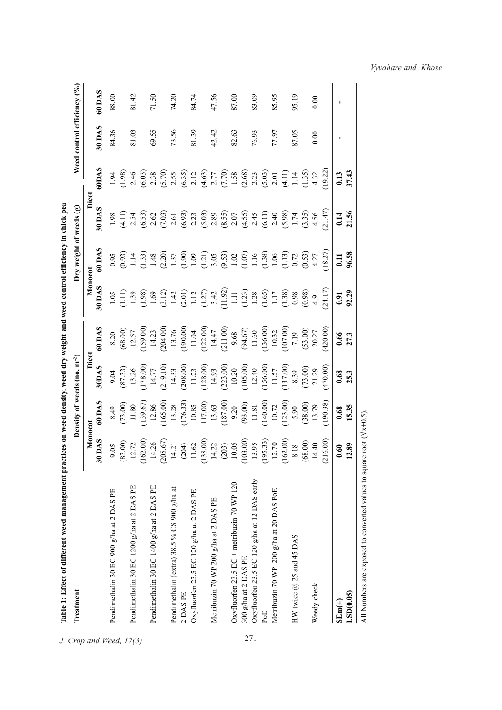| Treatment                                     |                          | Density of weeds (no. m <sup>-2</sup> ) |                       |                            |                                                                                                                                                                                                                                                                                                                                  | Dry weight of weeds $(g)$                                                                                                     |                                                                                                                                                                                                                                                                                                               |                                                           | Weed control efficiency $(%$ |               |
|-----------------------------------------------|--------------------------|-----------------------------------------|-----------------------|----------------------------|----------------------------------------------------------------------------------------------------------------------------------------------------------------------------------------------------------------------------------------------------------------------------------------------------------------------------------|-------------------------------------------------------------------------------------------------------------------------------|---------------------------------------------------------------------------------------------------------------------------------------------------------------------------------------------------------------------------------------------------------------------------------------------------------------|-----------------------------------------------------------|------------------------------|---------------|
|                                               | Monocot                  |                                         | Dicot                 |                            | Monocot                                                                                                                                                                                                                                                                                                                          |                                                                                                                               | Dicot                                                                                                                                                                                                                                                                                                         |                                                           |                              |               |
|                                               | DAS<br>౾                 | 60 DAS                                  | 30DAS                 | <b>ODAS</b>                | 30 DAS                                                                                                                                                                                                                                                                                                                           | 50 DAS                                                                                                                        | 30 DAS                                                                                                                                                                                                                                                                                                        | <b>ODAS</b>                                               | 30 DAS                       | <b>60 DAS</b> |
| Pendimethalin 30 EC 900 g/ha at 2 DAS PE      | 9.05                     | 8.49                                    | 9.04                  | 8.20                       | 1.05                                                                                                                                                                                                                                                                                                                             | 0.95                                                                                                                          | 1.98                                                                                                                                                                                                                                                                                                          | 1.94                                                      | 84.36                        | 88.00         |
|                                               | (83.00)                  | (73.00)                                 | (87.33)               | (68.00)                    |                                                                                                                                                                                                                                                                                                                                  |                                                                                                                               | (4.11)                                                                                                                                                                                                                                                                                                        | (38)                                                      |                              |               |
| Pendimethalin 30 EC 1200 g/ha at 2 DAS PE     | 12.72                    | 11.80                                   | 13.26                 | 12.57                      | $\begin{array}{c} (1.1) \\ 1.39 \\ (1.98) \end{array}$                                                                                                                                                                                                                                                                           | $\frac{0.93}{1.14}$                                                                                                           | 2.54                                                                                                                                                                                                                                                                                                          | 2.46                                                      | 81.03                        | 81.42         |
|                                               | (162.00)                 | (139.67)                                | 178.00)               | 159.00)                    |                                                                                                                                                                                                                                                                                                                                  |                                                                                                                               |                                                                                                                                                                                                                                                                                                               | (6.03)                                                    |                              |               |
| Pendimethalin 30 EC 1400 g/ha at 2 DAS PE     | 14.26                    | 12.86                                   | 14.77                 | 14.23                      | $1.69\,$                                                                                                                                                                                                                                                                                                                         |                                                                                                                               | $(6.53)$<br>2.62                                                                                                                                                                                                                                                                                              | 2.38                                                      | 69.55                        | 71.50         |
|                                               | (205.67)                 | (165.00)                                | (219.10)              | (204.00)                   | $\begin{array}{l} (3.12) \\[-4.8ex] -1.42 \\[-4.8ex] -1.12 \\[-4.8ex] -1.21 \\[-4.8ex] -1.21 \\[-4.8ex] -1.23 \\[-4.8ex] -1.23 \\[-4.8ex] -1.23 \\[-4.8ex] -1.23 \\[-4.8ex] -1.23 \\[-4.8ex] -1.23 \\[-4.8ex] -1.23 \\[-4.8ex] -1.23 \\[-4.8ex] -1.23 \\[-4.8ex] -1.23 \\[-4.8ex] -1.23 \\[-4.8ex] -1.23 \\[-4.8ex] -1.23 \\[-4$ | $\begin{array}{c} (1.33) \\ 1.48 \\ 2.20 \\ 1.37 \\ (1.90) \\ \end{array}$                                                    | (7.03)                                                                                                                                                                                                                                                                                                        |                                                           |                              |               |
| Pendimethalin (extra) $38.5\%$ CS 900 g/ha at | 14.21                    | 13.28                                   | 14.33                 |                            |                                                                                                                                                                                                                                                                                                                                  |                                                                                                                               |                                                                                                                                                                                                                                                                                                               | $(5.70)$<br>$2.55$<br>$(6.35)$                            | 73.56                        | 74.20         |
| 2 DAS PE                                      | (204)                    | (176.33)                                | (208.00)              | 13.76<br>(190.00)          |                                                                                                                                                                                                                                                                                                                                  |                                                                                                                               |                                                                                                                                                                                                                                                                                                               |                                                           |                              |               |
| Oxyfluorfen 23.5 EC 120 g/ha at 2 DAS PE      |                          | 10.85                                   |                       |                            |                                                                                                                                                                                                                                                                                                                                  |                                                                                                                               |                                                                                                                                                                                                                                                                                                               | 2.12                                                      | 81.39                        | 84.74         |
|                                               | $11.62$<br>$38.00$       | 117.00)                                 | $11.23$<br>(128.00)   | $11.04$<br>(122.00)        |                                                                                                                                                                                                                                                                                                                                  |                                                                                                                               |                                                                                                                                                                                                                                                                                                               |                                                           |                              |               |
| Metribuzin 70 WP 200 g/ha at 2 DAS PE         | $\frac{14.22}{(203)}$    | 13.63                                   | 14.93                 | 14.47                      |                                                                                                                                                                                                                                                                                                                                  | $\begin{array}{c} 1.09 \\[-4pt] (1.21) \\[-4pt] 3.05 \\[-4pt] (9.53) \\[-4pt] 0.07 \\[-4pt] (1.07) \\[-4pt] 1.16 \end{array}$ |                                                                                                                                                                                                                                                                                                               |                                                           | 42.42                        | 47.56         |
|                                               |                          | 187.00)                                 | (223.00)              | (211.00)                   |                                                                                                                                                                                                                                                                                                                                  |                                                                                                                               |                                                                                                                                                                                                                                                                                                               |                                                           |                              |               |
| Oxyfluorfen 23.5 EC + metribuzin 70 WP 120 +  |                          | 9.20                                    | 10.20                 |                            |                                                                                                                                                                                                                                                                                                                                  |                                                                                                                               |                                                                                                                                                                                                                                                                                                               |                                                           | 82.63                        | 87.00         |
| 300 g/ha at 2 DAS PE                          | (03.00)                  | (93.00)                                 | $(105.00)$<br>12.40   | $9.68$<br>(94.67)<br>11.60 |                                                                                                                                                                                                                                                                                                                                  |                                                                                                                               |                                                                                                                                                                                                                                                                                                               |                                                           |                              |               |
| Oxyfluorfen 23.5 EC 120 g/ha at 12 DAS early  | 13.95                    | $11.81\,$                               |                       |                            |                                                                                                                                                                                                                                                                                                                                  |                                                                                                                               |                                                                                                                                                                                                                                                                                                               |                                                           | 76.93                        | 83.09         |
| PoE                                           | 95.33)<br>Ë              |                                         | $(156.00)$<br>11.57   | (136.00)                   |                                                                                                                                                                                                                                                                                                                                  | $(1.38)$<br>1.06                                                                                                              | $\begin{array}{l} 1.61 \\ 2.63 \\ 3.73 \\ 4.63 \\ 5.83 \\ 6.93 \\ 7.85 \\ 7.87 \\ 8.95 \\ 7.87 \\ 7.89 \\ 7.89 \\ 7.89 \\ 7.89 \\ 7.89 \\ 7.89 \\ 7.89 \\ 7.89 \\ 7.89 \\ 7.89 \\ 7.89 \\ 7.89 \\ 7.89 \\ 7.89 \\ 7.89 \\ 7.89 \\ 7.89 \\ 7.89 \\ 7.89 \\ 7.89 \\ 7.89 \\ 7.89 \\ 7.89 \\ 7.89 \\ 7.89 \\ 7.$ | $(4.63)\n 2.77\n 2.58\n 1.58\n 2.68\n 2.33\n 2.01\n 2.01$ |                              |               |
| Metribuzin 70 WP 200 g/ha at 20 DAS PoE       | 12.70                    | $(140.00)$<br>10.72                     |                       | 10.32                      |                                                                                                                                                                                                                                                                                                                                  |                                                                                                                               |                                                                                                                                                                                                                                                                                                               |                                                           | 77.97                        | 85.95         |
|                                               | (162.00)                 | (123.00)                                | $\frac{137.00}{8.39}$ |                            | $(1.38)$<br>0.98                                                                                                                                                                                                                                                                                                                 |                                                                                                                               |                                                                                                                                                                                                                                                                                                               | $(4.11)$<br>1.14                                          |                              |               |
| HW twice $@$ 25 and 45 DAS                    | 8.18                     | 5.90                                    |                       | (107.00)                   |                                                                                                                                                                                                                                                                                                                                  | $(1.13)$<br>0.72                                                                                                              | $(5.98)$<br>1.74                                                                                                                                                                                                                                                                                              |                                                           | 87.05                        | 95.19         |
|                                               | (68.00)                  | (38.00)                                 | (73.00)               | (53.00)                    | (0.98)                                                                                                                                                                                                                                                                                                                           | $(0.53)$<br>4.27                                                                                                              |                                                                                                                                                                                                                                                                                                               | (1.35)                                                    |                              |               |
| Weedy check                                   | 4.40                     | 13.79                                   | 21.29                 | 20.27                      | 4.91                                                                                                                                                                                                                                                                                                                             |                                                                                                                               | $(3.35)$<br>4.56                                                                                                                                                                                                                                                                                              | 4.32                                                      | 0.00                         | 0.00          |
|                                               | 16.00)<br>$\overline{G}$ | 190.38)                                 | 470.00)               | (00.02)                    | 24.17)                                                                                                                                                                                                                                                                                                                           | 18.27                                                                                                                         | (1.47)                                                                                                                                                                                                                                                                                                        | 19.22                                                     |                              |               |
| $SEm(\pm)$                                    | 0.60                     | 0.68                                    | 0.68                  | 0.66                       | 0.91                                                                                                                                                                                                                                                                                                                             | 0.11                                                                                                                          | 0.14                                                                                                                                                                                                                                                                                                          | 0.13                                                      |                              |               |
| LSD(0.05)                                     | 12.89                    | 15.35                                   | 25.3                  | 27.3                       | 92.29                                                                                                                                                                                                                                                                                                                            | 96.58                                                                                                                         | 21.56                                                                                                                                                                                                                                                                                                         | 37.43                                                     |                              |               |

*Vyvahare and Khose*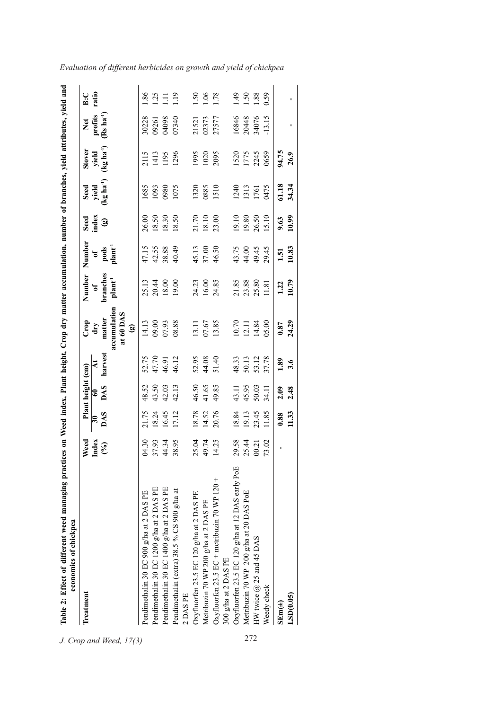| Table 2: Effect of different weed managing practices on Weed index, Plant height, Crop dry matter accumulation, number of branches, yield attributes, yield and<br>economics of chickpea |                         |                                  |                         |                                   |                                           |                                                |                                                                                                                                                                                                                                            |                                   |                                         |                              |                                          |                   |
|------------------------------------------------------------------------------------------------------------------------------------------------------------------------------------------|-------------------------|----------------------------------|-------------------------|-----------------------------------|-------------------------------------------|------------------------------------------------|--------------------------------------------------------------------------------------------------------------------------------------------------------------------------------------------------------------------------------------------|-----------------------------------|-----------------------------------------|------------------------------|------------------------------------------|-------------------|
| Treatment                                                                                                                                                                                |                         |                                  | Plant height (cm)       |                                   |                                           |                                                | Number                                                                                                                                                                                                                                     |                                   |                                         | <b>Stover</b>                |                                          | B:C               |
|                                                                                                                                                                                          | Weed<br>Index<br>(%)    | ≌                                | $\frac{60}{60}$         | $\mathbf{A}$ t                    | $rac{\text{Crop}}{\text{dry}}$            |                                                |                                                                                                                                                                                                                                            | $\frac{\text{Sed}}{\text{index}}$ | Seed<br>yield<br>(kg ha <sup>-1</sup> ) | yield<br>$(kg \, ha^{-1})$   | Net<br>profits<br>(Rs ha <sup>-1</sup> ) | ratio             |
|                                                                                                                                                                                          |                         | DAS                              |                         | harvest                           | accumulation<br>at 60 DAS<br>$\mathbf{G}$ | Number<br>of<br>branches<br>plant <sup>1</sup> | of<br>$\frac{1}{2}$<br>$\frac{1}{2}$<br>$\frac{1}{2}$<br>$\frac{1}{2}$<br>$\frac{1}{2}$<br>$\frac{1}{2}$<br>$\frac{1}{2}$<br><br>$\frac{1}{2}$<br><br><br><br><br><br><br><br><br><br><br><br><br><br><br><br><br><br><br><br><br><br><br> |                                   |                                         |                              |                                          |                   |
| Pendimethalin 30 EC 900 g/ha at 2 DAS PE                                                                                                                                                 |                         |                                  |                         |                                   | 14.13                                     |                                                |                                                                                                                                                                                                                                            |                                   | 1685                                    | 2115                         |                                          | 1.86              |
| Pendimethalin 30 EC 1200 g/ha at 2 DAS PE                                                                                                                                                | 04.30<br>37.93<br>44.34 | 21.75<br>18.24<br>16.45<br>17.12 | 48.52<br>43.50<br>42.03 | 52.75<br>47.70<br>46.91           | 09.00<br>07.93                            | 25.13<br>20.44<br>18.00                        | 47.15<br>42.55<br>38.88                                                                                                                                                                                                                    | 26.00<br>18.50<br>18.30           | 1093                                    | 1413                         | 30228<br>09261<br>04098<br>07340         | $\frac{25}{11}$   |
| Pendimethalin 30 EC 1400 g/ha at 2 DAS PE                                                                                                                                                |                         |                                  |                         |                                   |                                           |                                                |                                                                                                                                                                                                                                            |                                   | 0980                                    | 1195                         |                                          |                   |
| Pendimethalin (extra) 38.5 % CS 900 g/ha at                                                                                                                                              | 38.95                   |                                  | 42.13                   | 46.12                             | 08.88                                     | 19.00                                          | 40.49                                                                                                                                                                                                                                      | 18.50                             | 1075                                    | 1296                         |                                          | $\frac{1}{2}$     |
| 2DASPE                                                                                                                                                                                   |                         |                                  |                         |                                   |                                           |                                                |                                                                                                                                                                                                                                            |                                   |                                         |                              |                                          |                   |
| Oxyfluorfen 23.5 EC 120 g/ha at 2 DAS PE                                                                                                                                                 |                         |                                  |                         |                                   |                                           |                                                |                                                                                                                                                                                                                                            |                                   |                                         |                              |                                          |                   |
| Metribuzin 70 WP 200 g/ha at 2 DAS PE                                                                                                                                                    |                         | 18.78<br>14.52<br>20.76          | 46.50<br>41.65          | 52.95<br>44.08<br>51.40           | 13.11<br>07.67<br>13.85                   |                                                |                                                                                                                                                                                                                                            | 21.70<br>18.10<br>23.00           | 1320<br>0885<br>1510                    | 1995<br>1020<br>2095         | 21521<br>02373<br>27577                  | $\frac{50}{1.78}$ |
| Oxyfluorfen 23.5 EC + metribuzin 70 WP 120 +                                                                                                                                             | 25.04<br>49.74<br>14.25 |                                  | 49.85                   |                                   |                                           | 24.23<br>16.00<br>24.85                        | 45.13<br>37.00<br>46.50                                                                                                                                                                                                                    |                                   |                                         |                              |                                          |                   |
| 300 g/ha at 2 DAS PE                                                                                                                                                                     |                         |                                  |                         |                                   |                                           |                                                |                                                                                                                                                                                                                                            |                                   |                                         |                              |                                          |                   |
| Oxyfluorfen 23.5 EC 120 g/ha at 12 DAS early PoE                                                                                                                                         |                         |                                  |                         |                                   |                                           |                                                |                                                                                                                                                                                                                                            |                                   | 1240                                    |                              |                                          | 49                |
| Metribuzin 70 WP 200 g/ha at 20 DAS PoE                                                                                                                                                  | 29.58<br>25.44<br>00.21 | 18.84<br>19.145<br>19.185        | 43.11<br>45.95<br>50.03 | 48.33<br>50.13<br>53.178<br>37.78 | $\frac{10.70}{12.11}$                     | 21.85<br>23.88<br>25.81<br>11.81               | $43.75$<br>$44.945$<br>$49.45$                                                                                                                                                                                                             | 19.10<br>19.80<br>26.50<br>15.10  | 1313<br>1761<br>0475                    | 1520<br>1775<br>2245<br>0659 | 16846<br>20448<br>34076                  | .50               |
| HW twice $@$ 25 and 45 DAS                                                                                                                                                               |                         |                                  |                         |                                   | 14.84<br>05.00                            |                                                |                                                                                                                                                                                                                                            |                                   |                                         |                              |                                          | 1.88              |
| Weedy check                                                                                                                                                                              | 73.02                   |                                  | 34.11                   |                                   |                                           |                                                |                                                                                                                                                                                                                                            |                                   |                                         |                              | 13.15                                    | 0.59              |
| $SEm(\pm)$                                                                                                                                                                               |                         | 0.88                             | 2.09                    | 1.89                              | $\bf 0.87$                                | 1.22                                           | $\frac{1.51}{10.83}$                                                                                                                                                                                                                       | $9.63$<br>10.99                   | 61.18                                   | 94.75<br>26.9                |                                          |                   |
| LSD(0.05)                                                                                                                                                                                |                         | 11.33                            | 2.48                    | 3.6                               | 24.29                                     | 10.79                                          |                                                                                                                                                                                                                                            |                                   | 34.34                                   |                              |                                          |                   |
|                                                                                                                                                                                          |                         |                                  |                         |                                   |                                           |                                                |                                                                                                                                                                                                                                            |                                   |                                         |                              |                                          |                   |

*Evaluation of different herbicides on growth and yield of chickpea*

*J. Crop and Weed, 17(3)* 272